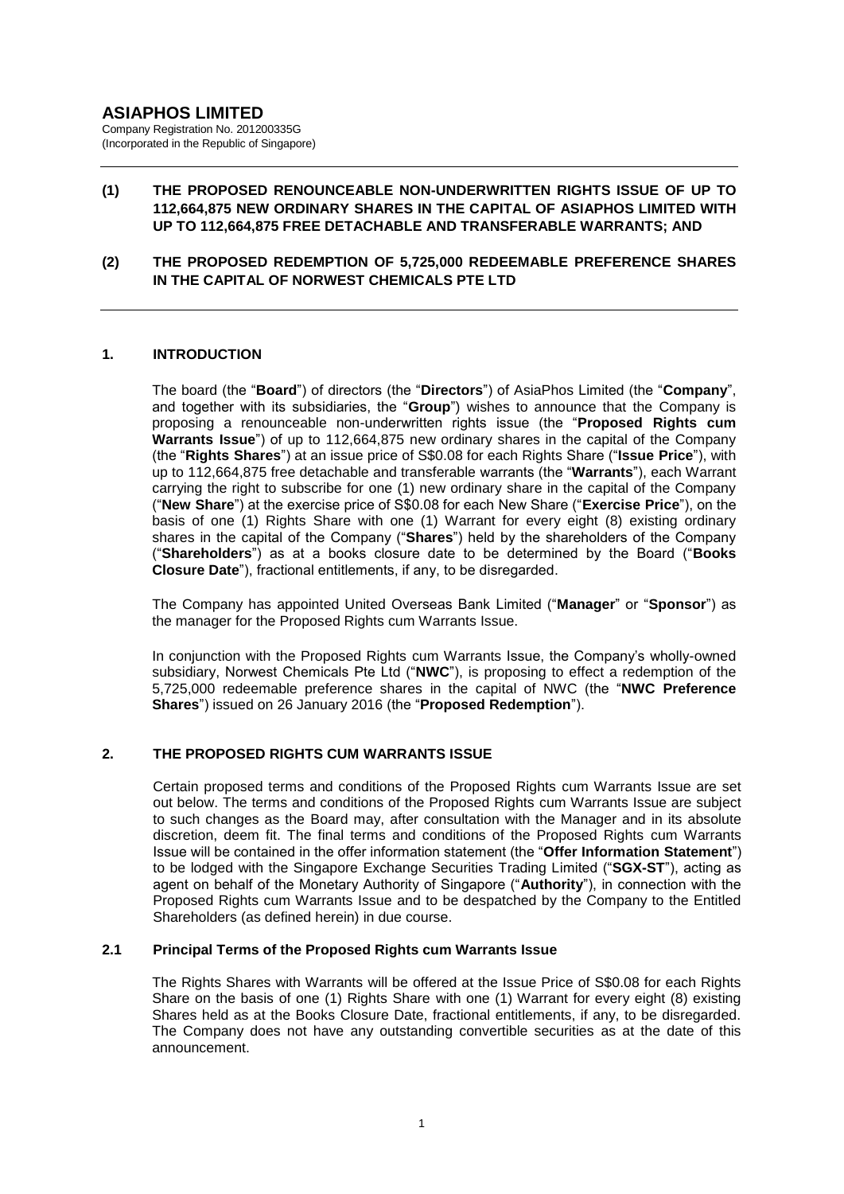# **(1) THE PROPOSED RENOUNCEABLE NON-UNDERWRITTEN RIGHTS ISSUE OF UP TO 112,664,875 NEW ORDINARY SHARES IN THE CAPITAL OF ASIAPHOS LIMITED WITH UP TO 112,664,875 FREE DETACHABLE AND TRANSFERABLE WARRANTS; AND**

**(2) THE PROPOSED REDEMPTION OF 5,725,000 REDEEMABLE PREFERENCE SHARES IN THE CAPITAL OF NORWEST CHEMICALS PTE LTD**

## **1. INTRODUCTION**

The board (the "**Board**") of directors (the "**Directors**") of AsiaPhos Limited (the "**Company**", and together with its subsidiaries, the "**Group**") wishes to announce that the Company is proposing a renounceable non-underwritten rights issue (the "**Proposed Rights cum Warrants Issue**") of up to 112,664,875 new ordinary shares in the capital of the Company (the "**Rights Shares**") at an issue price of S\$0.08 for each Rights Share ("**Issue Price**"), with up to 112,664,875 free detachable and transferable warrants (the "**Warrants**"), each Warrant carrying the right to subscribe for one (1) new ordinary share in the capital of the Company ("**New Share**") at the exercise price of S\$0.08 for each New Share ("**Exercise Price**"), on the basis of one (1) Rights Share with one (1) Warrant for every eight (8) existing ordinary shares in the capital of the Company ("**Shares**") held by the shareholders of the Company ("**Shareholders**") as at a books closure date to be determined by the Board ("**Books Closure Date**"), fractional entitlements, if any, to be disregarded.

The Company has appointed United Overseas Bank Limited ("**Manager**" or "**Sponsor**") as the manager for the Proposed Rights cum Warrants Issue.

In conjunction with the Proposed Rights cum Warrants Issue, the Company's wholly-owned subsidiary, Norwest Chemicals Pte Ltd ("**NWC**"), is proposing to effect a redemption of the 5,725,000 redeemable preference shares in the capital of NWC (the "**NWC Preference Shares**") issued on 26 January 2016 (the "**Proposed Redemption**").

#### **2. THE PROPOSED RIGHTS CUM WARRANTS ISSUE**

Certain proposed terms and conditions of the Proposed Rights cum Warrants Issue are set out below. The terms and conditions of the Proposed Rights cum Warrants Issue are subject to such changes as the Board may, after consultation with the Manager and in its absolute discretion, deem fit. The final terms and conditions of the Proposed Rights cum Warrants Issue will be contained in the offer information statement (the "**Offer Information Statement**") to be lodged with the Singapore Exchange Securities Trading Limited ("**SGX-ST**"), acting as agent on behalf of the Monetary Authority of Singapore ("**Authority**"), in connection with the Proposed Rights cum Warrants Issue and to be despatched by the Company to the Entitled Shareholders (as defined herein) in due course.

## **2.1 Principal Terms of the Proposed Rights cum Warrants Issue**

The Rights Shares with Warrants will be offered at the Issue Price of S\$0.08 for each Rights Share on the basis of one (1) Rights Share with one (1) Warrant for every eight (8) existing Shares held as at the Books Closure Date, fractional entitlements, if any, to be disregarded. The Company does not have any outstanding convertible securities as at the date of this announcement.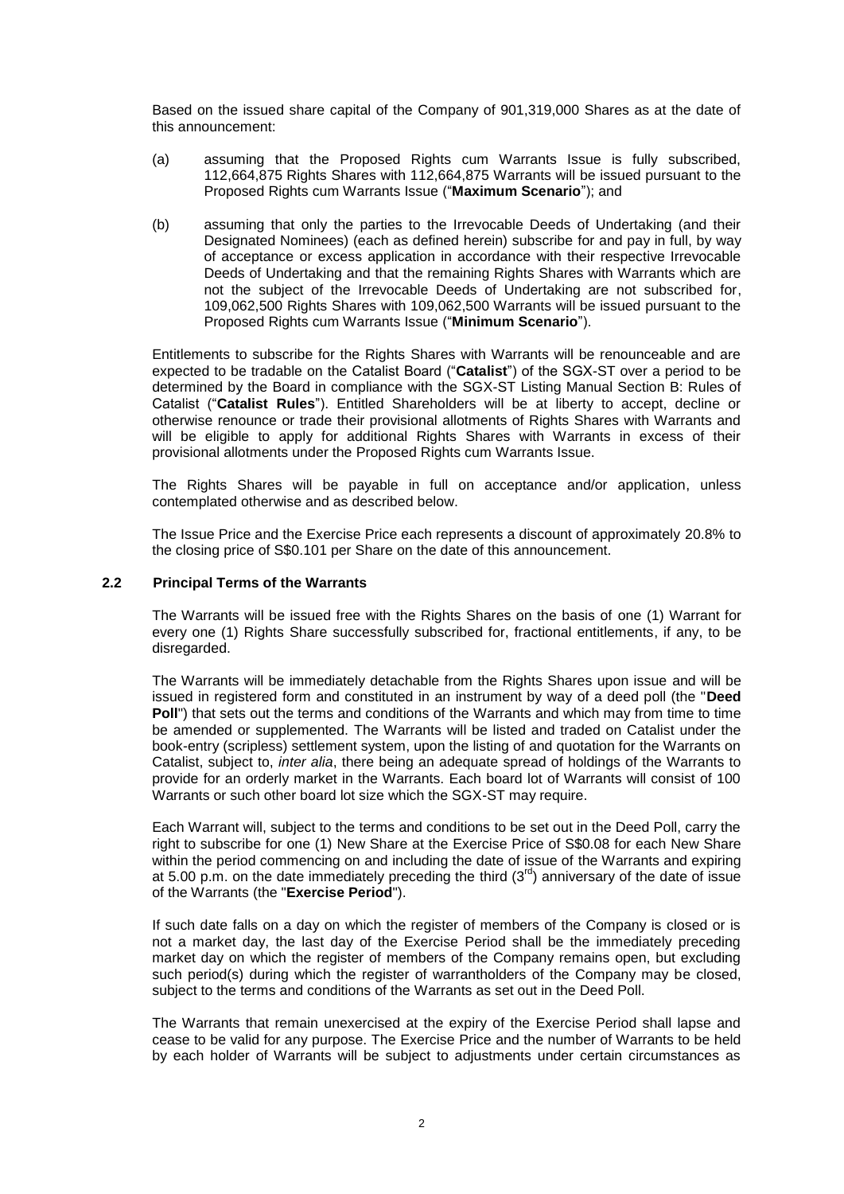Based on the issued share capital of the Company of 901,319,000 Shares as at the date of this announcement:

- (a) assuming that the Proposed Rights cum Warrants Issue is fully subscribed, 112,664,875 Rights Shares with 112,664,875 Warrants will be issued pursuant to the Proposed Rights cum Warrants Issue ("**Maximum Scenario**"); and
- (b) assuming that only the parties to the Irrevocable Deeds of Undertaking (and their Designated Nominees) (each as defined herein) subscribe for and pay in full, by way of acceptance or excess application in accordance with their respective Irrevocable Deeds of Undertaking and that the remaining Rights Shares with Warrants which are not the subject of the Irrevocable Deeds of Undertaking are not subscribed for, 109,062,500 Rights Shares with 109,062,500 Warrants will be issued pursuant to the Proposed Rights cum Warrants Issue ("**Minimum Scenario**").

Entitlements to subscribe for the Rights Shares with Warrants will be renounceable and are expected to be tradable on the Catalist Board ("**Catalist**") of the SGX-ST over a period to be determined by the Board in compliance with the SGX-ST Listing Manual Section B: Rules of Catalist ("**Catalist Rules**"). Entitled Shareholders will be at liberty to accept, decline or otherwise renounce or trade their provisional allotments of Rights Shares with Warrants and will be eligible to apply for additional Rights Shares with Warrants in excess of their provisional allotments under the Proposed Rights cum Warrants Issue.

The Rights Shares will be payable in full on acceptance and/or application, unless contemplated otherwise and as described below.

The Issue Price and the Exercise Price each represents a discount of approximately 20.8% to the closing price of S\$0.101 per Share on the date of this announcement.

#### **2.2 Principal Terms of the Warrants**

The Warrants will be issued free with the Rights Shares on the basis of one (1) Warrant for every one (1) Rights Share successfully subscribed for, fractional entitlements, if any, to be disregarded.

The Warrants will be immediately detachable from the Rights Shares upon issue and will be issued in registered form and constituted in an instrument by way of a deed poll (the "**Deed Poll**") that sets out the terms and conditions of the Warrants and which may from time to time be amended or supplemented. The Warrants will be listed and traded on Catalist under the book-entry (scripless) settlement system, upon the listing of and quotation for the Warrants on Catalist, subject to, *inter alia*, there being an adequate spread of holdings of the Warrants to provide for an orderly market in the Warrants. Each board lot of Warrants will consist of 100 Warrants or such other board lot size which the SGX-ST may require.

Each Warrant will, subject to the terms and conditions to be set out in the Deed Poll, carry the right to subscribe for one (1) New Share at the Exercise Price of S\$0.08 for each New Share within the period commencing on and including the date of issue of the Warrants and expiring at 5.00 p.m. on the date immediately preceding the third  $(3<sup>rd</sup>)$  anniversary of the date of issue of the Warrants (the "**Exercise Period**").

If such date falls on a day on which the register of members of the Company is closed or is not a market day, the last day of the Exercise Period shall be the immediately preceding market day on which the register of members of the Company remains open, but excluding such period(s) during which the register of warrantholders of the Company may be closed, subject to the terms and conditions of the Warrants as set out in the Deed Poll.

The Warrants that remain unexercised at the expiry of the Exercise Period shall lapse and cease to be valid for any purpose. The Exercise Price and the number of Warrants to be held by each holder of Warrants will be subject to adjustments under certain circumstances as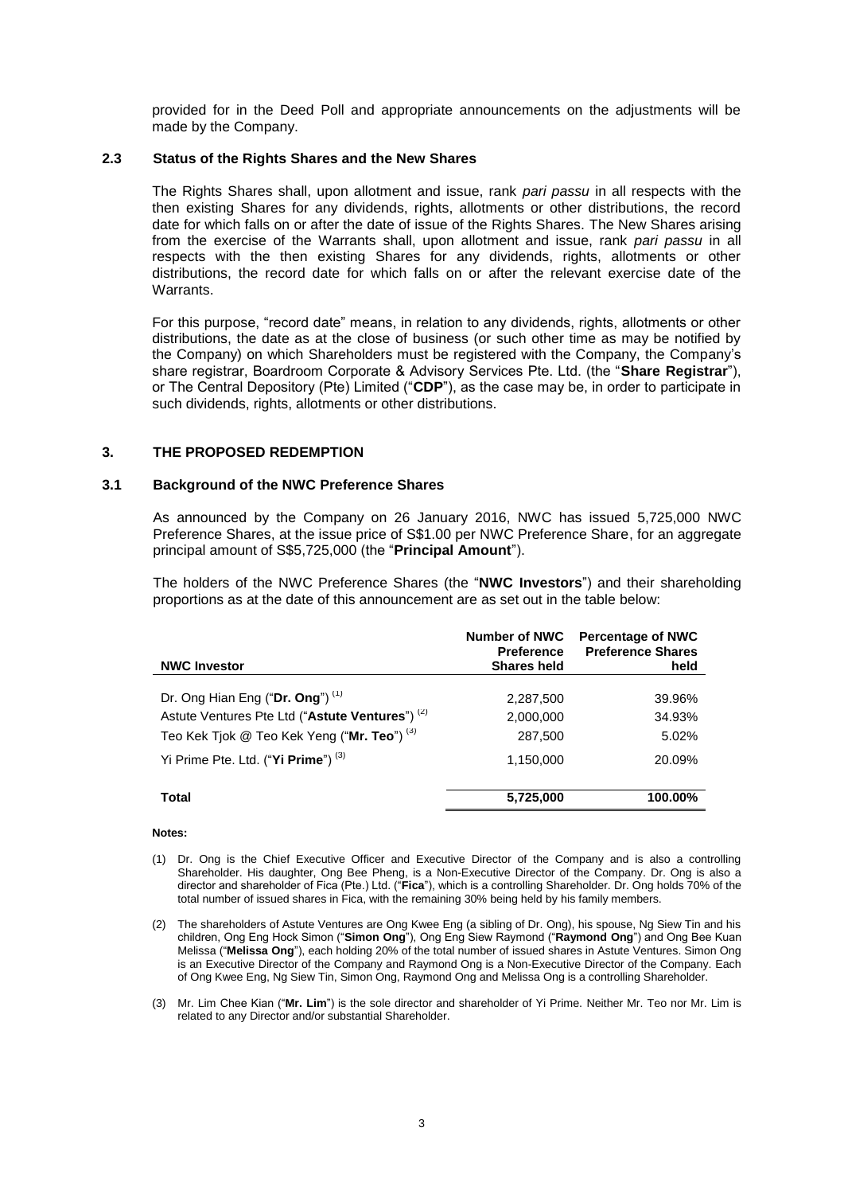provided for in the Deed Poll and appropriate announcements on the adjustments will be made by the Company.

#### **2.3 Status of the Rights Shares and the New Shares**

The Rights Shares shall, upon allotment and issue, rank *pari passu* in all respects with the then existing Shares for any dividends, rights, allotments or other distributions, the record date for which falls on or after the date of issue of the Rights Shares. The New Shares arising from the exercise of the Warrants shall, upon allotment and issue, rank *pari passu* in all respects with the then existing Shares for any dividends, rights, allotments or other distributions, the record date for which falls on or after the relevant exercise date of the Warrants.

For this purpose, "record date" means, in relation to any dividends, rights, allotments or other distributions, the date as at the close of business (or such other time as may be notified by the Company) on which Shareholders must be registered with the Company, the Company's share registrar, Boardroom Corporate & Advisory Services Pte. Ltd. (the "**Share Registrar**"), or The Central Depository (Pte) Limited ("**CDP**"), as the case may be, in order to participate in such dividends, rights, allotments or other distributions.

## **3. THE PROPOSED REDEMPTION**

## **3.1 Background of the NWC Preference Shares**

As announced by the Company on 26 January 2016, NWC has issued 5,725,000 NWC Preference Shares, at the issue price of S\$1.00 per NWC Preference Share, for an aggregate principal amount of S\$5,725,000 (the "**Principal Amount**").

The holders of the NWC Preference Shares (the "**NWC Investors**") and their shareholding proportions as at the date of this announcement are as set out in the table below:

| Number of NWC      | <b>Percentage of NWC</b> |
|--------------------|--------------------------|
| <b>Preference</b>  | <b>Preference Shares</b> |
| <b>Shares held</b> | held                     |
| 2,287,500          | 39.96%                   |
| 2,000,000          | 34.93%                   |
| 287,500            | 5.02%                    |
| 5,725,000          | 20.09%<br>100.00%        |
|                    | 1,150,000                |

#### **Notes:**

- (1) Dr. Ong is the Chief Executive Officer and Executive Director of the Company and is also a controlling Shareholder. His daughter, Ong Bee Pheng, is a Non-Executive Director of the Company. Dr. Ong is also a director and shareholder of Fica (Pte.) Ltd. ("**Fica**"), which is a controlling Shareholder. Dr. Ong holds 70% of the total number of issued shares in Fica, with the remaining 30% being held by his family members.
- (2) The shareholders of Astute Ventures are Ong Kwee Eng (a sibling of Dr. Ong), his spouse, Ng Siew Tin and his children, Ong Eng Hock Simon ("**Simon Ong**"), Ong Eng Siew Raymond ("**Raymond Ong**") and Ong Bee Kuan Melissa ("**Melissa Ong**"), each holding 20% of the total number of issued shares in Astute Ventures. Simon Ong is an Executive Director of the Company and Raymond Ong is a Non-Executive Director of the Company. Each of Ong Kwee Eng, Ng Siew Tin, Simon Ong, Raymond Ong and Melissa Ong is a controlling Shareholder.
- (3) Mr. Lim Chee Kian ("**Mr. Lim**") is the sole director and shareholder of Yi Prime. Neither Mr. Teo nor Mr. Lim is related to any Director and/or substantial Shareholder.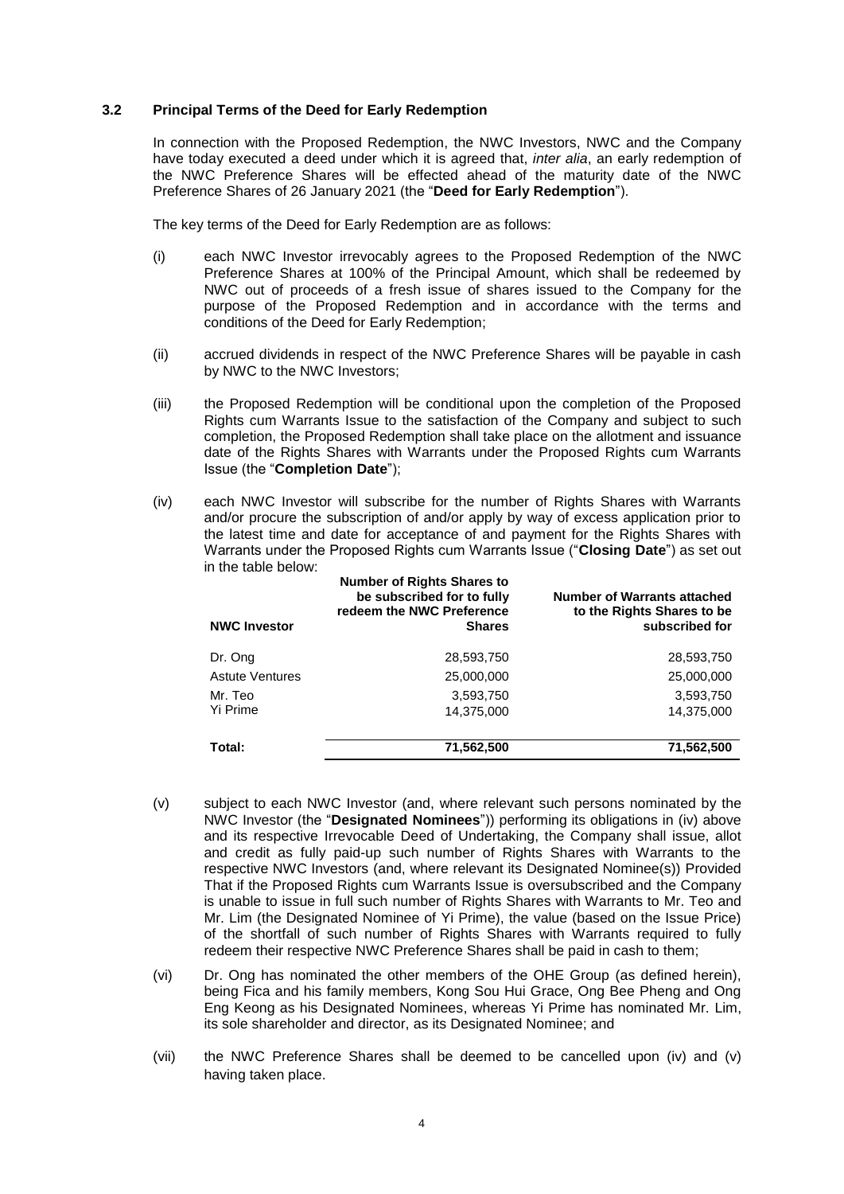## **3.2 Principal Terms of the Deed for Early Redemption**

In connection with the Proposed Redemption, the NWC Investors, NWC and the Company have today executed a deed under which it is agreed that, *inter alia*, an early redemption of the NWC Preference Shares will be effected ahead of the maturity date of the NWC Preference Shares of 26 January 2021 (the "**Deed for Early Redemption**").

The key terms of the Deed for Early Redemption are as follows:

- (i) each NWC Investor irrevocably agrees to the Proposed Redemption of the NWC Preference Shares at 100% of the Principal Amount, which shall be redeemed by NWC out of proceeds of a fresh issue of shares issued to the Company for the purpose of the Proposed Redemption and in accordance with the terms and conditions of the Deed for Early Redemption;
- (ii) accrued dividends in respect of the NWC Preference Shares will be payable in cash by NWC to the NWC Investors;
- (iii) the Proposed Redemption will be conditional upon the completion of the Proposed Rights cum Warrants Issue to the satisfaction of the Company and subject to such completion, the Proposed Redemption shall take place on the allotment and issuance date of the Rights Shares with Warrants under the Proposed Rights cum Warrants Issue (the "**Completion Date**");
- (iv) each NWC Investor will subscribe for the number of Rights Shares with Warrants and/or procure the subscription of and/or apply by way of excess application prior to the latest time and date for acceptance of and payment for the Rights Shares with Warrants under the Proposed Rights cum Warrants Issue ("**Closing Date**") as set out in the table below:

| <b>NWC Investor</b>    | <b>Number of Rights Shares to</b><br>be subscribed for to fully<br>redeem the NWC Preference<br><b>Shares</b> | <b>Number of Warrants attached</b><br>to the Rights Shares to be<br>subscribed for |
|------------------------|---------------------------------------------------------------------------------------------------------------|------------------------------------------------------------------------------------|
| Dr. Ong                | 28,593,750                                                                                                    | 28,593,750                                                                         |
| <b>Astute Ventures</b> | 25,000,000                                                                                                    | 25,000,000                                                                         |
| Mr. Teo                | 3,593,750                                                                                                     | 3,593,750                                                                          |
| Yi Prime               | 14,375,000                                                                                                    | 14,375,000                                                                         |
| Total:                 | 71,562,500                                                                                                    | 71,562,500                                                                         |

- (v) subject to each NWC Investor (and, where relevant such persons nominated by the NWC Investor (the "**Designated Nominees**")) performing its obligations in (iv) above and its respective Irrevocable Deed of Undertaking, the Company shall issue, allot and credit as fully paid-up such number of Rights Shares with Warrants to the respective NWC Investors (and, where relevant its Designated Nominee(s)) Provided That if the Proposed Rights cum Warrants Issue is oversubscribed and the Company is unable to issue in full such number of Rights Shares with Warrants to Mr. Teo and Mr. Lim (the Designated Nominee of Yi Prime), the value (based on the Issue Price) of the shortfall of such number of Rights Shares with Warrants required to fully redeem their respective NWC Preference Shares shall be paid in cash to them;
- (vi) Dr. Ong has nominated the other members of the OHE Group (as defined herein), being Fica and his family members, Kong Sou Hui Grace, Ong Bee Pheng and Ong Eng Keong as his Designated Nominees, whereas Yi Prime has nominated Mr. Lim, its sole shareholder and director, as its Designated Nominee; and
- (vii) the NWC Preference Shares shall be deemed to be cancelled upon (iv) and (v) having taken place.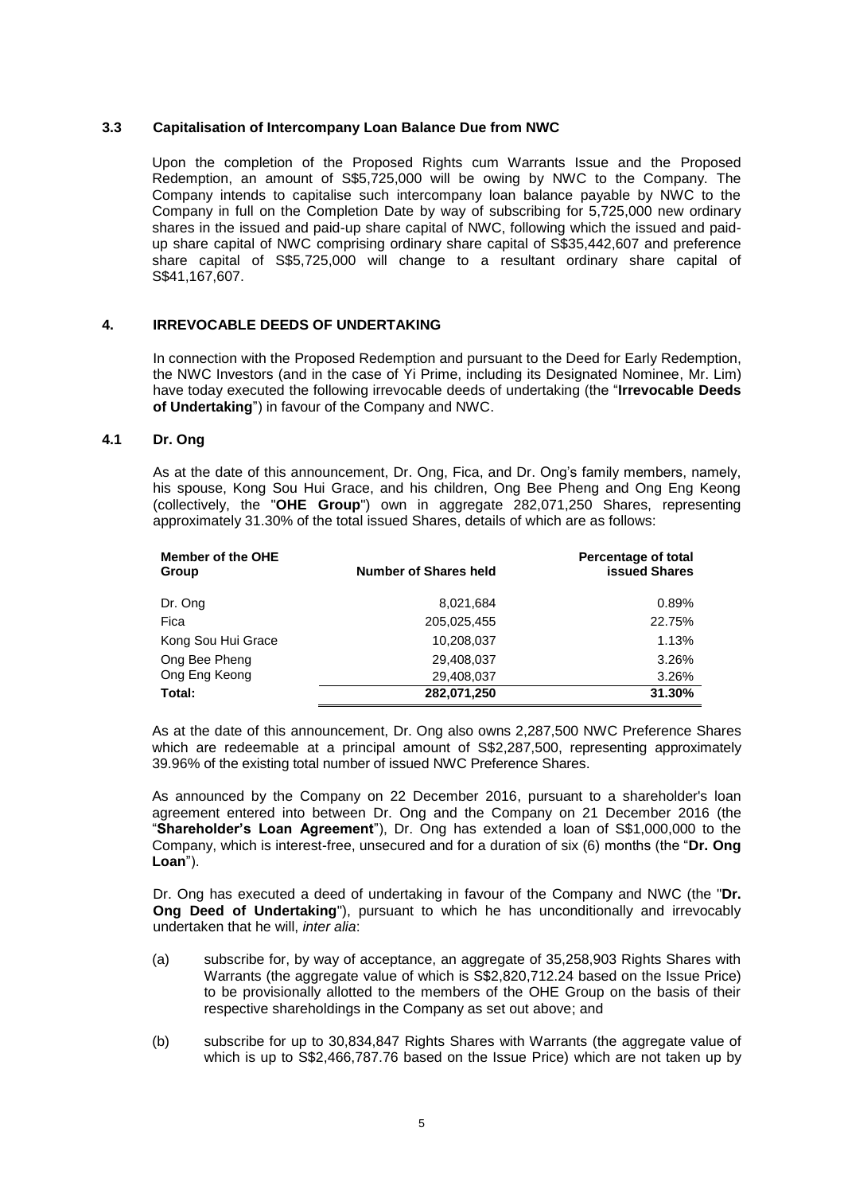## **3.3 Capitalisation of Intercompany Loan Balance Due from NWC**

Upon the completion of the Proposed Rights cum Warrants Issue and the Proposed Redemption, an amount of S\$5,725,000 will be owing by NWC to the Company. The Company intends to capitalise such intercompany loan balance payable by NWC to the Company in full on the Completion Date by way of subscribing for 5,725,000 new ordinary shares in the issued and paid-up share capital of NWC, following which the issued and paidup share capital of NWC comprising ordinary share capital of S\$35,442,607 and preference share capital of S\$5,725,000 will change to a resultant ordinary share capital of S\$41,167,607.

## **4. IRREVOCABLE DEEDS OF UNDERTAKING**

In connection with the Proposed Redemption and pursuant to the Deed for Early Redemption, the NWC Investors (and in the case of Yi Prime, including its Designated Nominee, Mr. Lim) have today executed the following irrevocable deeds of undertaking (the "**Irrevocable Deeds of Undertaking**") in favour of the Company and NWC.

#### **4.1 Dr. Ong**

As at the date of this announcement, Dr. Ong, Fica, and Dr. Ong's family members, namely, his spouse, Kong Sou Hui Grace, and his children, Ong Bee Pheng and Ong Eng Keong (collectively, the "**OHE Group**") own in aggregate 282,071,250 Shares, representing approximately 31.30% of the total issued Shares, details of which are as follows:

| <b>Member of the OHE</b><br>Group | <b>Number of Shares held</b> | Percentage of total<br><b>issued Shares</b> |
|-----------------------------------|------------------------------|---------------------------------------------|
| Dr. Ong                           | 8,021,684                    | 0.89%                                       |
| Fica                              | 205,025,455                  | 22.75%                                      |
| Kong Sou Hui Grace                | 10,208,037                   | 1.13%                                       |
| Ong Bee Pheng                     | 29,408,037                   | 3.26%                                       |
| Ong Eng Keong                     | 29,408,037                   | 3.26%                                       |
| Total:                            | 282,071,250                  | 31.30%                                      |

As at the date of this announcement, Dr. Ong also owns 2,287,500 NWC Preference Shares which are redeemable at a principal amount of S\$2,287,500, representing approximately 39.96% of the existing total number of issued NWC Preference Shares.

As announced by the Company on 22 December 2016, pursuant to a shareholder's loan agreement entered into between Dr. Ong and the Company on 21 December 2016 (the "**Shareholder's Loan Agreement**"), Dr. Ong has extended a loan of S\$1,000,000 to the Company, which is interest-free, unsecured and for a duration of six (6) months (the "**Dr. Ong Loan**").

Dr. Ong has executed a deed of undertaking in favour of the Company and NWC (the "**Dr. Ong Deed of Undertaking**"), pursuant to which he has unconditionally and irrevocably undertaken that he will, *inter alia*:

- (a) subscribe for, by way of acceptance, an aggregate of 35,258,903 Rights Shares with Warrants (the aggregate value of which is S\$2,820,712.24 based on the Issue Price) to be provisionally allotted to the members of the OHE Group on the basis of their respective shareholdings in the Company as set out above; and
- (b) subscribe for up to 30,834,847 Rights Shares with Warrants (the aggregate value of which is up to S\$2,466,787.76 based on the Issue Price) which are not taken up by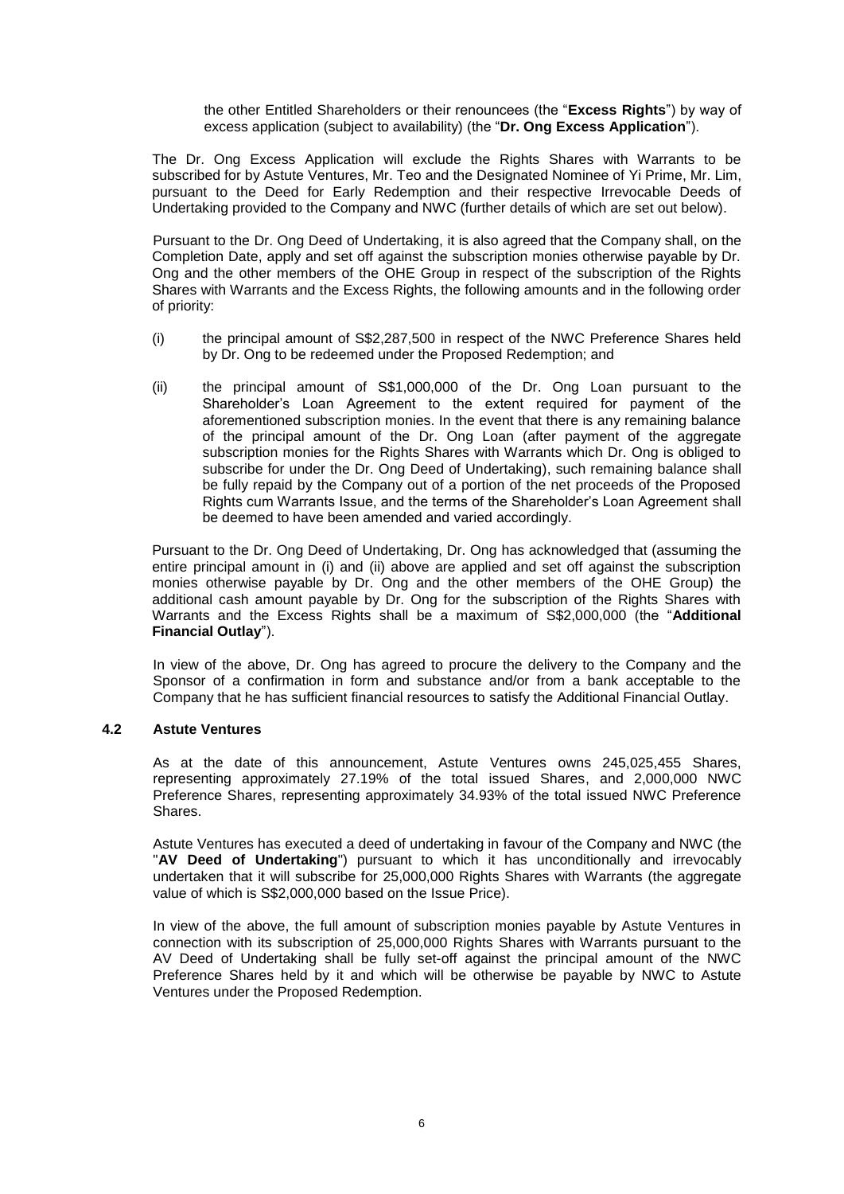the other Entitled Shareholders or their renouncees (the "**Excess Rights**") by way of excess application (subject to availability) (the "**Dr. Ong Excess Application**").

The Dr. Ong Excess Application will exclude the Rights Shares with Warrants to be subscribed for by Astute Ventures, Mr. Teo and the Designated Nominee of Yi Prime, Mr. Lim, pursuant to the Deed for Early Redemption and their respective Irrevocable Deeds of Undertaking provided to the Company and NWC (further details of which are set out below).

Pursuant to the Dr. Ong Deed of Undertaking, it is also agreed that the Company shall, on the Completion Date, apply and set off against the subscription monies otherwise payable by Dr. Ong and the other members of the OHE Group in respect of the subscription of the Rights Shares with Warrants and the Excess Rights, the following amounts and in the following order of priority:

- (i) the principal amount of S\$2,287,500 in respect of the NWC Preference Shares held by Dr. Ong to be redeemed under the Proposed Redemption; and
- (ii) the principal amount of S\$1,000,000 of the Dr. Ong Loan pursuant to the Shareholder's Loan Agreement to the extent required for payment of the aforementioned subscription monies. In the event that there is any remaining balance of the principal amount of the Dr. Ong Loan (after payment of the aggregate subscription monies for the Rights Shares with Warrants which Dr. Ong is obliged to subscribe for under the Dr. Ong Deed of Undertaking), such remaining balance shall be fully repaid by the Company out of a portion of the net proceeds of the Proposed Rights cum Warrants Issue, and the terms of the Shareholder's Loan Agreement shall be deemed to have been amended and varied accordingly.

Pursuant to the Dr. Ong Deed of Undertaking, Dr. Ong has acknowledged that (assuming the entire principal amount in (i) and (ii) above are applied and set off against the subscription monies otherwise payable by Dr. Ong and the other members of the OHE Group) the additional cash amount payable by Dr. Ong for the subscription of the Rights Shares with Warrants and the Excess Rights shall be a maximum of S\$2,000,000 (the "**Additional Financial Outlay**").

In view of the above, Dr. Ong has agreed to procure the delivery to the Company and the Sponsor of a confirmation in form and substance and/or from a bank acceptable to the Company that he has sufficient financial resources to satisfy the Additional Financial Outlay.

# **4.2 Astute Ventures**

As at the date of this announcement, Astute Ventures owns 245,025,455 Shares, representing approximately 27.19% of the total issued Shares, and 2,000,000 NWC Preference Shares, representing approximately 34.93% of the total issued NWC Preference Shares.

Astute Ventures has executed a deed of undertaking in favour of the Company and NWC (the "**AV Deed of Undertaking**") pursuant to which it has unconditionally and irrevocably undertaken that it will subscribe for 25,000,000 Rights Shares with Warrants (the aggregate value of which is S\$2,000,000 based on the Issue Price).

In view of the above, the full amount of subscription monies payable by Astute Ventures in connection with its subscription of 25,000,000 Rights Shares with Warrants pursuant to the AV Deed of Undertaking shall be fully set-off against the principal amount of the NWC Preference Shares held by it and which will be otherwise be payable by NWC to Astute Ventures under the Proposed Redemption.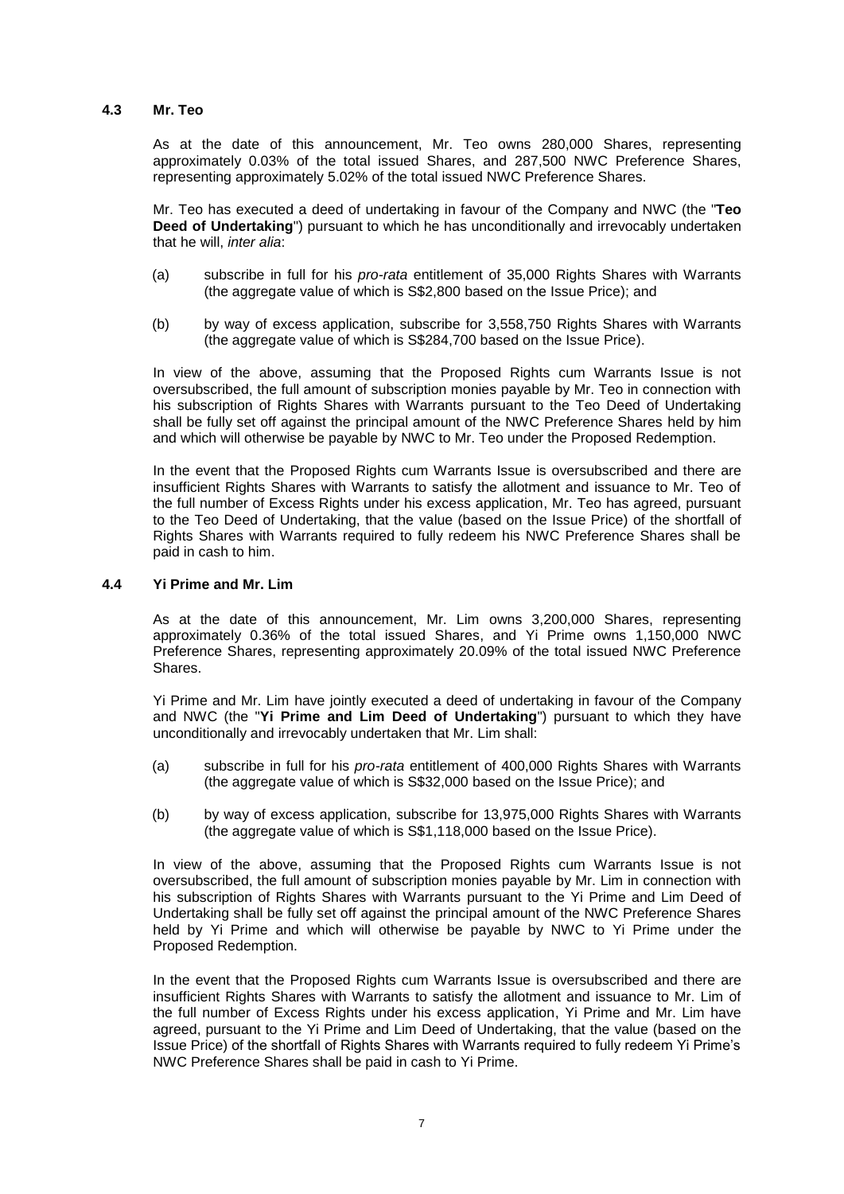## **4.3 Mr. Teo**

As at the date of this announcement, Mr. Teo owns 280,000 Shares, representing approximately 0.03% of the total issued Shares, and 287,500 NWC Preference Shares, representing approximately 5.02% of the total issued NWC Preference Shares.

Mr. Teo has executed a deed of undertaking in favour of the Company and NWC (the "**Teo Deed of Undertaking**") pursuant to which he has unconditionally and irrevocably undertaken that he will, *inter alia*:

- (a) subscribe in full for his *pro-rata* entitlement of 35,000 Rights Shares with Warrants (the aggregate value of which is S\$2,800 based on the Issue Price); and
- (b) by way of excess application, subscribe for 3,558,750 Rights Shares with Warrants (the aggregate value of which is S\$284,700 based on the Issue Price).

In view of the above, assuming that the Proposed Rights cum Warrants Issue is not oversubscribed, the full amount of subscription monies payable by Mr. Teo in connection with his subscription of Rights Shares with Warrants pursuant to the Teo Deed of Undertaking shall be fully set off against the principal amount of the NWC Preference Shares held by him and which will otherwise be payable by NWC to Mr. Teo under the Proposed Redemption.

In the event that the Proposed Rights cum Warrants Issue is oversubscribed and there are insufficient Rights Shares with Warrants to satisfy the allotment and issuance to Mr. Teo of the full number of Excess Rights under his excess application, Mr. Teo has agreed, pursuant to the Teo Deed of Undertaking, that the value (based on the Issue Price) of the shortfall of Rights Shares with Warrants required to fully redeem his NWC Preference Shares shall be paid in cash to him.

#### **4.4 Yi Prime and Mr. Lim**

As at the date of this announcement, Mr. Lim owns 3,200,000 Shares, representing approximately 0.36% of the total issued Shares, and Yi Prime owns 1,150,000 NWC Preference Shares, representing approximately 20.09% of the total issued NWC Preference Shares.

Yi Prime and Mr. Lim have jointly executed a deed of undertaking in favour of the Company and NWC (the "**Yi Prime and Lim Deed of Undertaking**") pursuant to which they have unconditionally and irrevocably undertaken that Mr. Lim shall:

- (a) subscribe in full for his *pro-rata* entitlement of 400,000 Rights Shares with Warrants (the aggregate value of which is S\$32,000 based on the Issue Price); and
- (b) by way of excess application, subscribe for 13,975,000 Rights Shares with Warrants (the aggregate value of which is S\$1,118,000 based on the Issue Price).

In view of the above, assuming that the Proposed Rights cum Warrants Issue is not oversubscribed, the full amount of subscription monies payable by Mr. Lim in connection with his subscription of Rights Shares with Warrants pursuant to the Yi Prime and Lim Deed of Undertaking shall be fully set off against the principal amount of the NWC Preference Shares held by Yi Prime and which will otherwise be payable by NWC to Yi Prime under the Proposed Redemption.

In the event that the Proposed Rights cum Warrants Issue is oversubscribed and there are insufficient Rights Shares with Warrants to satisfy the allotment and issuance to Mr. Lim of the full number of Excess Rights under his excess application, Yi Prime and Mr. Lim have agreed, pursuant to the Yi Prime and Lim Deed of Undertaking, that the value (based on the Issue Price) of the shortfall of Rights Shares with Warrants required to fully redeem Yi Prime's NWC Preference Shares shall be paid in cash to Yi Prime.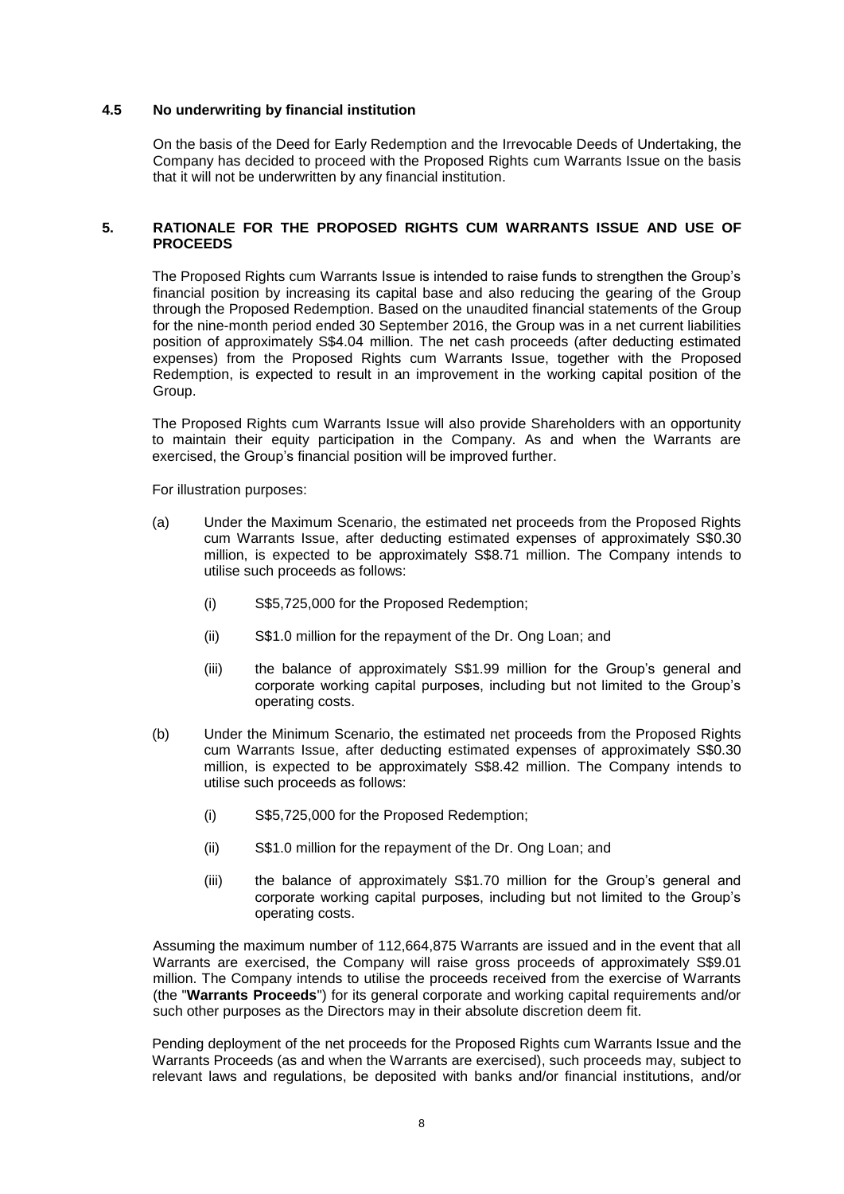## **4.5 No underwriting by financial institution**

On the basis of the Deed for Early Redemption and the Irrevocable Deeds of Undertaking, the Company has decided to proceed with the Proposed Rights cum Warrants Issue on the basis that it will not be underwritten by any financial institution.

#### **5. RATIONALE FOR THE PROPOSED RIGHTS CUM WARRANTS ISSUE AND USE OF PROCEEDS**

The Proposed Rights cum Warrants Issue is intended to raise funds to strengthen the Group's financial position by increasing its capital base and also reducing the gearing of the Group through the Proposed Redemption. Based on the unaudited financial statements of the Group for the nine-month period ended 30 September 2016, the Group was in a net current liabilities position of approximately S\$4.04 million. The net cash proceeds (after deducting estimated expenses) from the Proposed Rights cum Warrants Issue, together with the Proposed Redemption, is expected to result in an improvement in the working capital position of the Group.

The Proposed Rights cum Warrants Issue will also provide Shareholders with an opportunity to maintain their equity participation in the Company. As and when the Warrants are exercised, the Group's financial position will be improved further.

For illustration purposes:

- (a) Under the Maximum Scenario, the estimated net proceeds from the Proposed Rights cum Warrants Issue, after deducting estimated expenses of approximately S\$0.30 million, is expected to be approximately S\$8.71 million. The Company intends to utilise such proceeds as follows:
	- (i) S\$5,725,000 for the Proposed Redemption;
	- (ii) S\$1.0 million for the repayment of the Dr. Ong Loan; and
	- (iii) the balance of approximately S\$1.99 million for the Group's general and corporate working capital purposes, including but not limited to the Group's operating costs.
- (b) Under the Minimum Scenario, the estimated net proceeds from the Proposed Rights cum Warrants Issue, after deducting estimated expenses of approximately S\$0.30 million, is expected to be approximately S\$8.42 million. The Company intends to utilise such proceeds as follows:
	- (i) S\$5,725,000 for the Proposed Redemption;
	- (ii) S\$1.0 million for the repayment of the Dr. Ong Loan; and
	- (iii) the balance of approximately S\$1.70 million for the Group's general and corporate working capital purposes, including but not limited to the Group's operating costs.

Assuming the maximum number of 112,664,875 Warrants are issued and in the event that all Warrants are exercised, the Company will raise gross proceeds of approximately S\$9.01 million. The Company intends to utilise the proceeds received from the exercise of Warrants (the "**Warrants Proceeds**") for its general corporate and working capital requirements and/or such other purposes as the Directors may in their absolute discretion deem fit.

Pending deployment of the net proceeds for the Proposed Rights cum Warrants Issue and the Warrants Proceeds (as and when the Warrants are exercised), such proceeds may, subject to relevant laws and regulations, be deposited with banks and/or financial institutions, and/or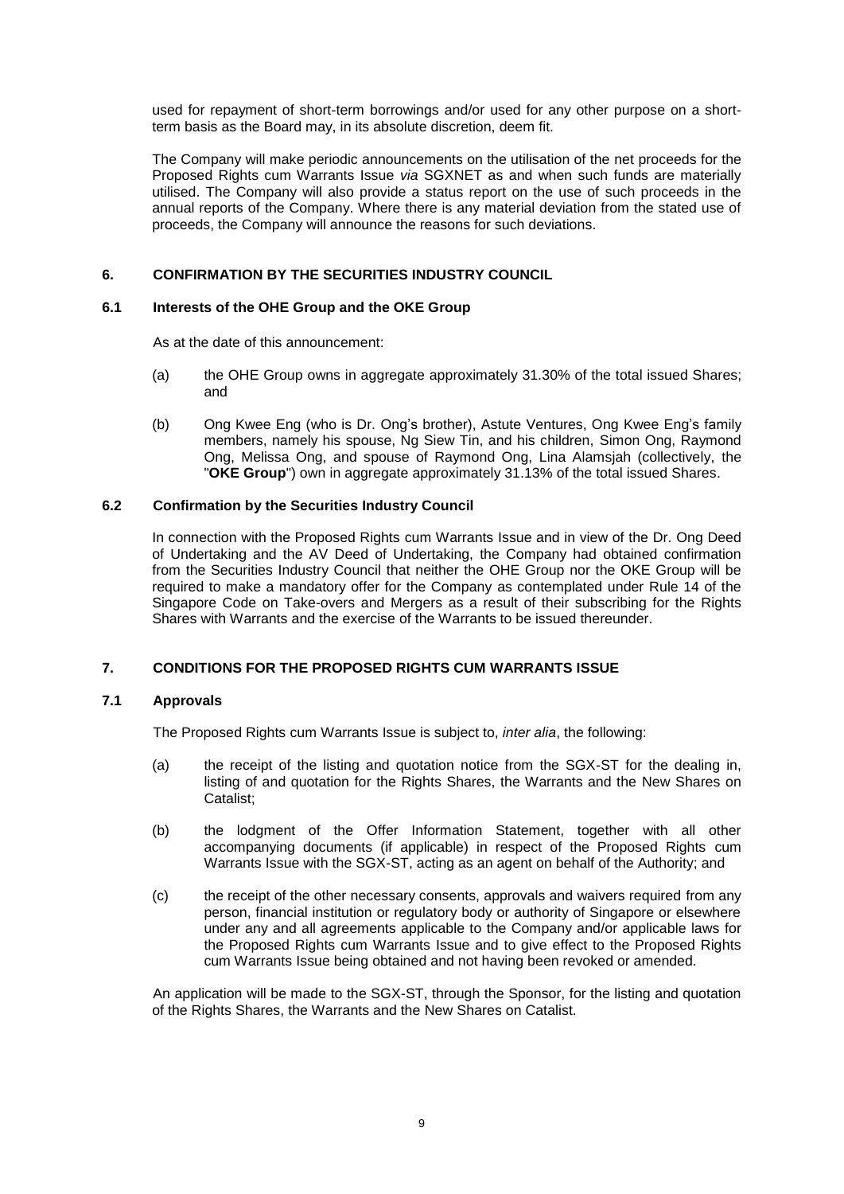used for repayment of short-term borrowings and/or used for any other purpose on a shortterm basis as the Board may, in its absolute discretion, deem fit.

The Company will make periodic announcements on the utilisation of the net proceeds for the Proposed Rights cum Warrants Issue *via* SGXNET as and when such funds are materially utilised. The Company will also provide a status report on the use of such proceeds in the annual reports of the Company. Where there is any material deviation from the stated use of proceeds, the Company will announce the reasons for such deviations.

# **6. CONFIRMATION BY THE SECURITIES INDUSTRY COUNCIL**

## **6.1 Interests of the OHE Group and the OKE Group**

As at the date of this announcement:

- (a) the OHE Group owns in aggregate approximately 31.30% of the total issued Shares; and
- (b) Ong Kwee Eng (who is Dr. Ong's brother), Astute Ventures, Ong Kwee Eng's family members, namely his spouse, Ng Siew Tin, and his children, Simon Ong, Raymond Ong, Melissa Ong, and spouse of Raymond Ong, Lina Alamsjah (collectively, the "**OKE Group**") own in aggregate approximately 31.13% of the total issued Shares.

## **6.2 Confirmation by the Securities Industry Council**

In connection with the Proposed Rights cum Warrants Issue and in view of the Dr. Ong Deed of Undertaking and the AV Deed of Undertaking, the Company had obtained confirmation from the Securities Industry Council that neither the OHE Group nor the OKE Group will be required to make a mandatory offer for the Company as contemplated under Rule 14 of the Singapore Code on Take-overs and Mergers as a result of their subscribing for the Rights Shares with Warrants and the exercise of the Warrants to be issued thereunder.

# **7. CONDITIONS FOR THE PROPOSED RIGHTS CUM WARRANTS ISSUE**

# **7.1 Approvals**

The Proposed Rights cum Warrants Issue is subject to, *inter alia*, the following:

- (a) the receipt of the listing and quotation notice from the SGX-ST for the dealing in, listing of and quotation for the Rights Shares, the Warrants and the New Shares on Catalist;
- (b) the lodgment of the Offer Information Statement, together with all other accompanying documents (if applicable) in respect of the Proposed Rights cum Warrants Issue with the SGX-ST, acting as an agent on behalf of the Authority; and
- (c) the receipt of the other necessary consents, approvals and waivers required from any person, financial institution or regulatory body or authority of Singapore or elsewhere under any and all agreements applicable to the Company and/or applicable laws for the Proposed Rights cum Warrants Issue and to give effect to the Proposed Rights cum Warrants Issue being obtained and not having been revoked or amended.

An application will be made to the SGX-ST, through the Sponsor, for the listing and quotation of the Rights Shares, the Warrants and the New Shares on Catalist.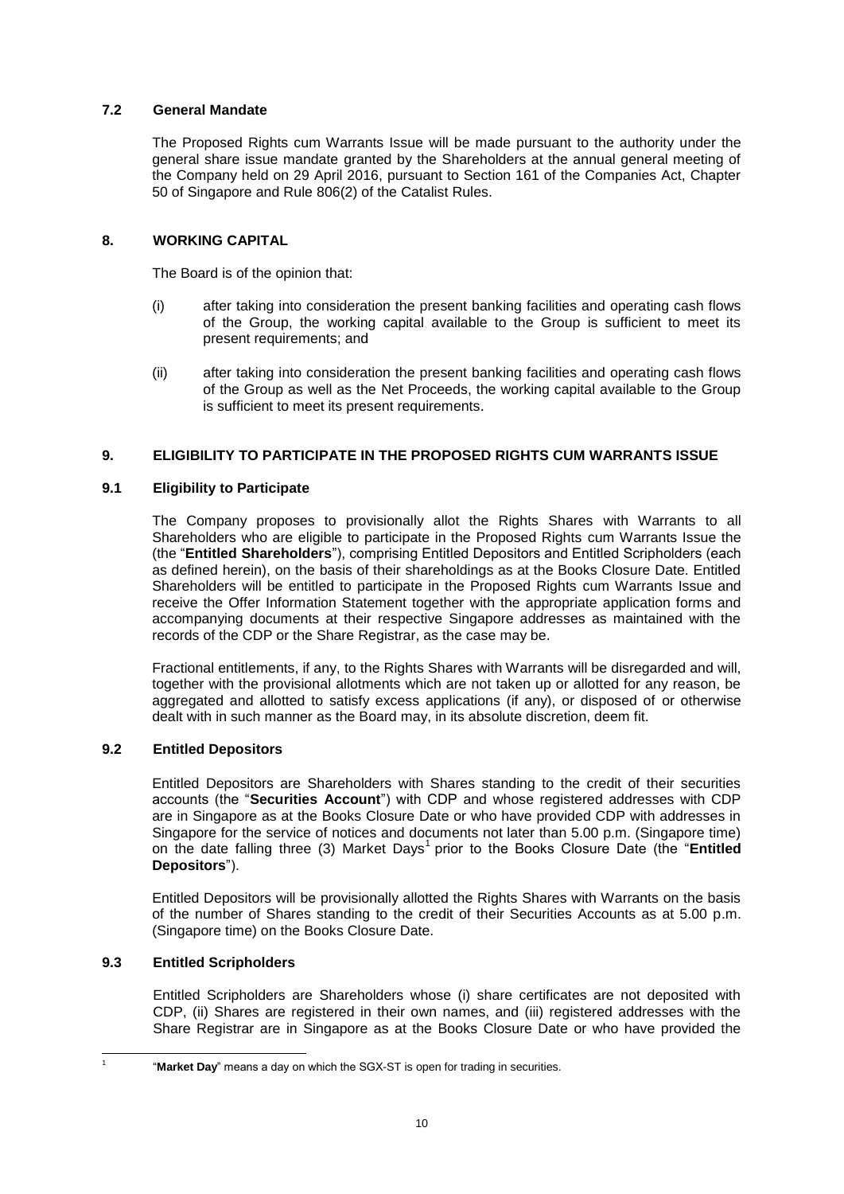# **7.2 General Mandate**

The Proposed Rights cum Warrants Issue will be made pursuant to the authority under the general share issue mandate granted by the Shareholders at the annual general meeting of the Company held on 29 April 2016, pursuant to Section 161 of the Companies Act, Chapter 50 of Singapore and Rule 806(2) of the Catalist Rules.

# **8. WORKING CAPITAL**

The Board is of the opinion that:

- (i) after taking into consideration the present banking facilities and operating cash flows of the Group, the working capital available to the Group is sufficient to meet its present requirements; and
- (ii) after taking into consideration the present banking facilities and operating cash flows of the Group as well as the Net Proceeds, the working capital available to the Group is sufficient to meet its present requirements.

# **9. ELIGIBILITY TO PARTICIPATE IN THE PROPOSED RIGHTS CUM WARRANTS ISSUE**

# **9.1 Eligibility to Participate**

The Company proposes to provisionally allot the Rights Shares with Warrants to all Shareholders who are eligible to participate in the Proposed Rights cum Warrants Issue the (the "**Entitled Shareholders**"), comprising Entitled Depositors and Entitled Scripholders (each as defined herein), on the basis of their shareholdings as at the Books Closure Date. Entitled Shareholders will be entitled to participate in the Proposed Rights cum Warrants Issue and receive the Offer Information Statement together with the appropriate application forms and accompanying documents at their respective Singapore addresses as maintained with the records of the CDP or the Share Registrar, as the case may be.

Fractional entitlements, if any, to the Rights Shares with Warrants will be disregarded and will, together with the provisional allotments which are not taken up or allotted for any reason, be aggregated and allotted to satisfy excess applications (if any), or disposed of or otherwise dealt with in such manner as the Board may, in its absolute discretion, deem fit.

# **9.2 Entitled Depositors**

Entitled Depositors are Shareholders with Shares standing to the credit of their securities accounts (the "**Securities Account**") with CDP and whose registered addresses with CDP are in Singapore as at the Books Closure Date or who have provided CDP with addresses in Singapore for the service of notices and documents not later than 5.00 p.m. (Singapore time) on the date falling three (3) Market Days<sup>1</sup> prior to the Books Closure Date (the "Entitled **Depositors**").

Entitled Depositors will be provisionally allotted the Rights Shares with Warrants on the basis of the number of Shares standing to the credit of their Securities Accounts as at 5.00 p.m. (Singapore time) on the Books Closure Date.

# **9.3 Entitled Scripholders**

1 1 Entitled Scripholders are Shareholders whose (i) share certificates are not deposited with CDP, (ii) Shares are registered in their own names, and (iii) registered addresses with the Share Registrar are in Singapore as at the Books Closure Date or who have provided the

<sup>&</sup>quot;**Market Day**" means a day on which the SGX-ST is open for trading in securities.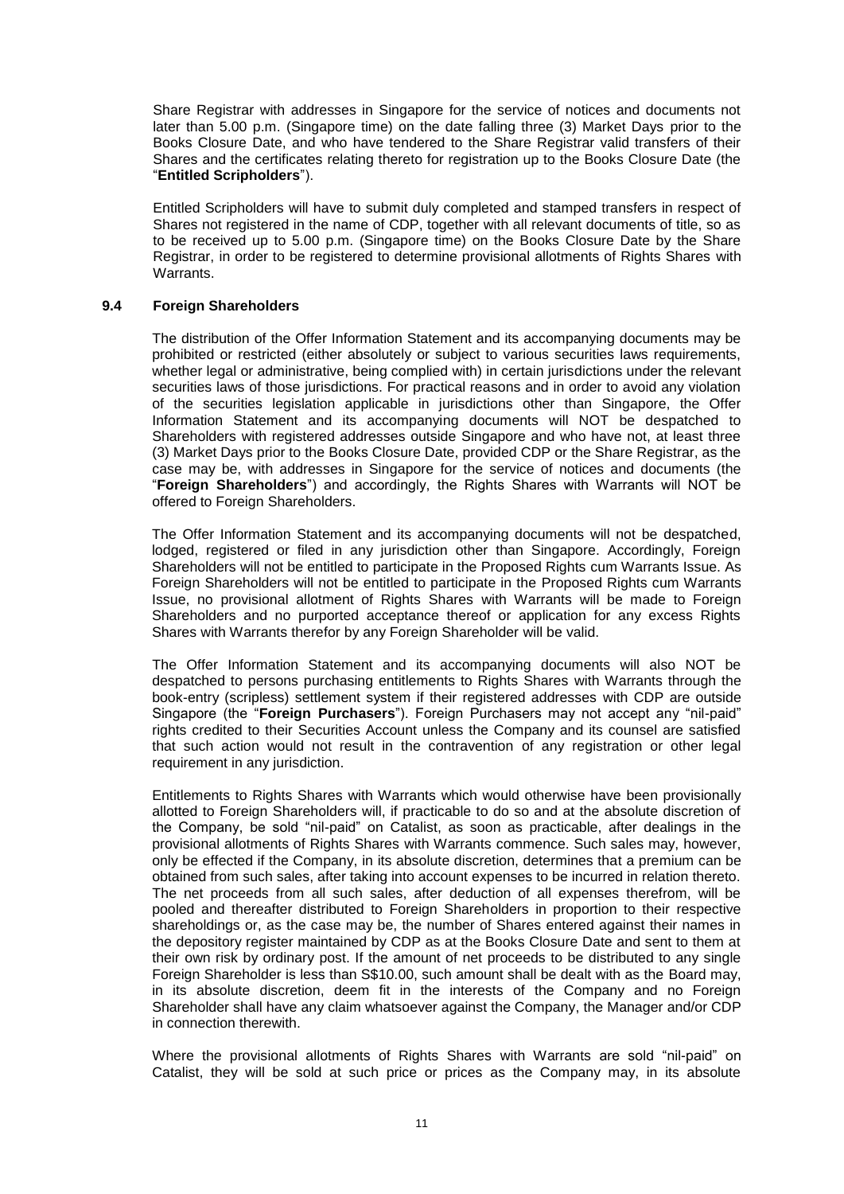Share Registrar with addresses in Singapore for the service of notices and documents not later than 5.00 p.m. (Singapore time) on the date falling three (3) Market Days prior to the Books Closure Date, and who have tendered to the Share Registrar valid transfers of their Shares and the certificates relating thereto for registration up to the Books Closure Date (the "**Entitled Scripholders**").

Entitled Scripholders will have to submit duly completed and stamped transfers in respect of Shares not registered in the name of CDP, together with all relevant documents of title, so as to be received up to 5.00 p.m. (Singapore time) on the Books Closure Date by the Share Registrar, in order to be registered to determine provisional allotments of Rights Shares with Warrants.

#### **9.4 Foreign Shareholders**

The distribution of the Offer Information Statement and its accompanying documents may be prohibited or restricted (either absolutely or subject to various securities laws requirements, whether legal or administrative, being complied with) in certain jurisdictions under the relevant securities laws of those jurisdictions. For practical reasons and in order to avoid any violation of the securities legislation applicable in jurisdictions other than Singapore, the Offer Information Statement and its accompanying documents will NOT be despatched to Shareholders with registered addresses outside Singapore and who have not, at least three (3) Market Days prior to the Books Closure Date, provided CDP or the Share Registrar, as the case may be, with addresses in Singapore for the service of notices and documents (the "**Foreign Shareholders**") and accordingly, the Rights Shares with Warrants will NOT be offered to Foreign Shareholders.

The Offer Information Statement and its accompanying documents will not be despatched, lodged, registered or filed in any jurisdiction other than Singapore. Accordingly, Foreign Shareholders will not be entitled to participate in the Proposed Rights cum Warrants Issue. As Foreign Shareholders will not be entitled to participate in the Proposed Rights cum Warrants Issue, no provisional allotment of Rights Shares with Warrants will be made to Foreign Shareholders and no purported acceptance thereof or application for any excess Rights Shares with Warrants therefor by any Foreign Shareholder will be valid.

The Offer Information Statement and its accompanying documents will also NOT be despatched to persons purchasing entitlements to Rights Shares with Warrants through the book-entry (scripless) settlement system if their registered addresses with CDP are outside Singapore (the "**Foreign Purchasers**"). Foreign Purchasers may not accept any "nil-paid" rights credited to their Securities Account unless the Company and its counsel are satisfied that such action would not result in the contravention of any registration or other legal requirement in any jurisdiction.

Entitlements to Rights Shares with Warrants which would otherwise have been provisionally allotted to Foreign Shareholders will, if practicable to do so and at the absolute discretion of the Company, be sold "nil-paid" on Catalist, as soon as practicable, after dealings in the provisional allotments of Rights Shares with Warrants commence. Such sales may, however, only be effected if the Company, in its absolute discretion, determines that a premium can be obtained from such sales, after taking into account expenses to be incurred in relation thereto. The net proceeds from all such sales, after deduction of all expenses therefrom, will be pooled and thereafter distributed to Foreign Shareholders in proportion to their respective shareholdings or, as the case may be, the number of Shares entered against their names in the depository register maintained by CDP as at the Books Closure Date and sent to them at their own risk by ordinary post. If the amount of net proceeds to be distributed to any single Foreign Shareholder is less than S\$10.00, such amount shall be dealt with as the Board may, in its absolute discretion, deem fit in the interests of the Company and no Foreign Shareholder shall have any claim whatsoever against the Company, the Manager and/or CDP in connection therewith.

Where the provisional allotments of Rights Shares with Warrants are sold "nil-paid" on Catalist, they will be sold at such price or prices as the Company may, in its absolute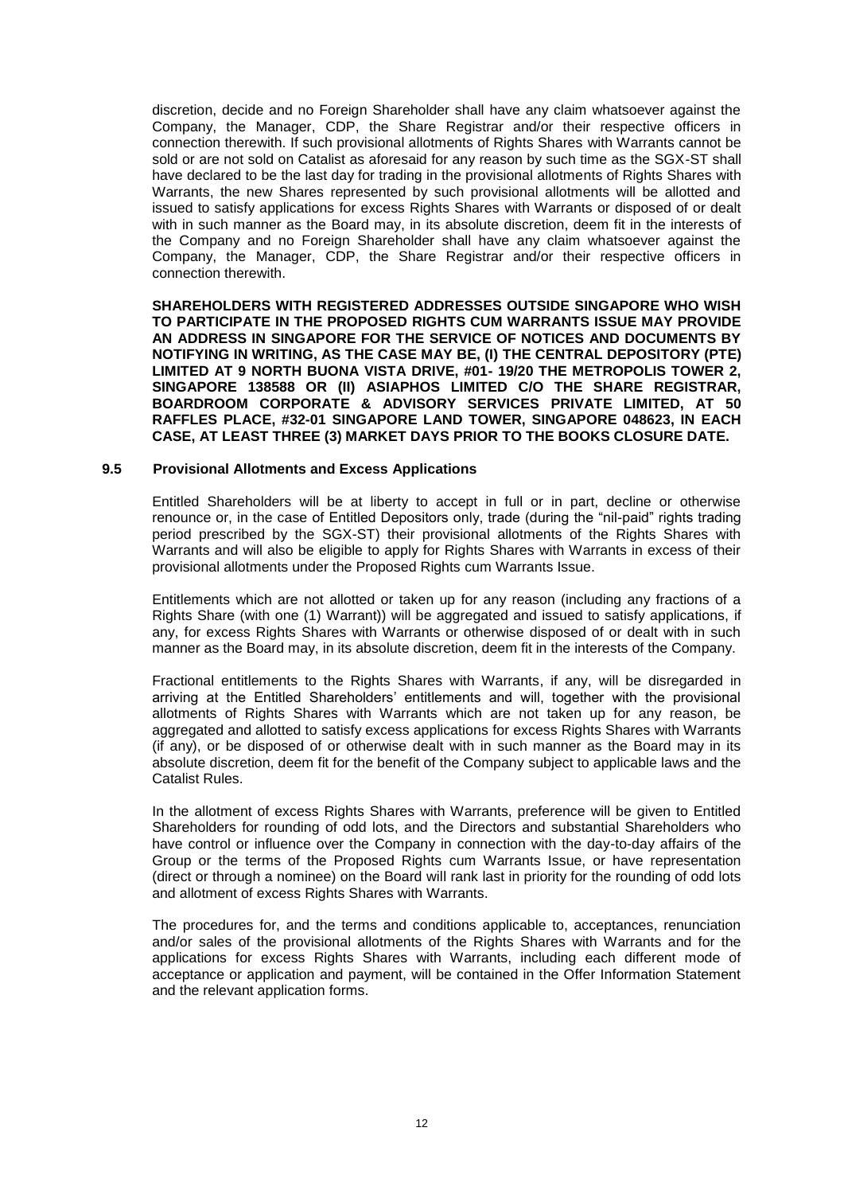discretion, decide and no Foreign Shareholder shall have any claim whatsoever against the Company, the Manager, CDP, the Share Registrar and/or their respective officers in connection therewith. If such provisional allotments of Rights Shares with Warrants cannot be sold or are not sold on Catalist as aforesaid for any reason by such time as the SGX-ST shall have declared to be the last day for trading in the provisional allotments of Rights Shares with Warrants, the new Shares represented by such provisional allotments will be allotted and issued to satisfy applications for excess Rights Shares with Warrants or disposed of or dealt with in such manner as the Board may, in its absolute discretion, deem fit in the interests of the Company and no Foreign Shareholder shall have any claim whatsoever against the Company, the Manager, CDP, the Share Registrar and/or their respective officers in connection therewith.

**SHAREHOLDERS WITH REGISTERED ADDRESSES OUTSIDE SINGAPORE WHO WISH TO PARTICIPATE IN THE PROPOSED RIGHTS CUM WARRANTS ISSUE MAY PROVIDE AN ADDRESS IN SINGAPORE FOR THE SERVICE OF NOTICES AND DOCUMENTS BY NOTIFYING IN WRITING, AS THE CASE MAY BE, (I) THE CENTRAL DEPOSITORY (PTE) LIMITED AT 9 NORTH BUONA VISTA DRIVE, #01- 19/20 THE METROPOLIS TOWER 2, SINGAPORE 138588 OR (II) ASIAPHOS LIMITED C/O THE SHARE REGISTRAR, BOARDROOM CORPORATE & ADVISORY SERVICES PRIVATE LIMITED, AT 50 RAFFLES PLACE, #32-01 SINGAPORE LAND TOWER, SINGAPORE 048623, IN EACH CASE, AT LEAST THREE (3) MARKET DAYS PRIOR TO THE BOOKS CLOSURE DATE.**

#### **9.5 Provisional Allotments and Excess Applications**

Entitled Shareholders will be at liberty to accept in full or in part, decline or otherwise renounce or, in the case of Entitled Depositors only, trade (during the "nil-paid" rights trading period prescribed by the SGX-ST) their provisional allotments of the Rights Shares with Warrants and will also be eligible to apply for Rights Shares with Warrants in excess of their provisional allotments under the Proposed Rights cum Warrants Issue.

Entitlements which are not allotted or taken up for any reason (including any fractions of a Rights Share (with one (1) Warrant)) will be aggregated and issued to satisfy applications, if any, for excess Rights Shares with Warrants or otherwise disposed of or dealt with in such manner as the Board may, in its absolute discretion, deem fit in the interests of the Company.

Fractional entitlements to the Rights Shares with Warrants, if any, will be disregarded in arriving at the Entitled Shareholders' entitlements and will, together with the provisional allotments of Rights Shares with Warrants which are not taken up for any reason, be aggregated and allotted to satisfy excess applications for excess Rights Shares with Warrants (if any), or be disposed of or otherwise dealt with in such manner as the Board may in its absolute discretion, deem fit for the benefit of the Company subject to applicable laws and the Catalist Rules.

In the allotment of excess Rights Shares with Warrants, preference will be given to Entitled Shareholders for rounding of odd lots, and the Directors and substantial Shareholders who have control or influence over the Company in connection with the day-to-day affairs of the Group or the terms of the Proposed Rights cum Warrants Issue, or have representation (direct or through a nominee) on the Board will rank last in priority for the rounding of odd lots and allotment of excess Rights Shares with Warrants.

The procedures for, and the terms and conditions applicable to, acceptances, renunciation and/or sales of the provisional allotments of the Rights Shares with Warrants and for the applications for excess Rights Shares with Warrants, including each different mode of acceptance or application and payment, will be contained in the Offer Information Statement and the relevant application forms.